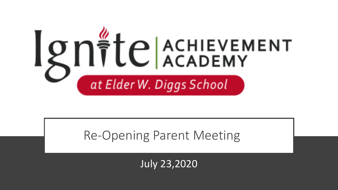

#### Re-Opening Parent Meeting

July 23,2020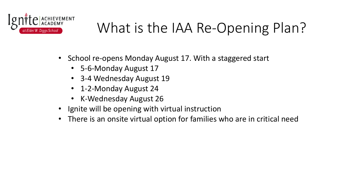

### What is the IAA Re-Opening Plan?

- School re-opens Monday August 17. With a staggered start
	- 5-6-Monday August 17
	- 3-4 Wednesday August 19
	- 1-2-Monday August 24
	- K-Wednesday August 26
- Ignite will be opening with virtual instruction
- There is an onsite virtual option for families who are in critical need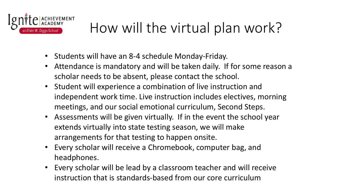

### How will the virtual plan work?

- Students will have an 8-4 schedule Monday-Friday.
- Attendance is mandatory and will be taken daily. If for some reason a scholar needs to be absent, please contact the school.
- Student will experience a combination of live instruction and independent work time. Live instruction includes electives, morning meetings, and our social emotional curriculum, Second Steps.
- Assessments will be given virtually. If in the event the school year extends virtually into state testing season, we will make arrangements for that testing to happen onsite.
- Every scholar will receive a Chromebook, computer bag, and headphones.
- Every scholar will be lead by a classroom teacher and will receive instruction that is standards-based from our core curriculum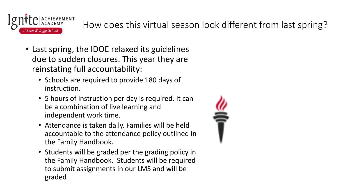

How does this virtual season look different from last spring?

- Last spring, the IDOE relaxed its guidelines due to sudden closures. This year they are reinstating full accountability:
	- Schools are required to provide 180 days of instruction.
	- 5 hours of instruction per day is required. It can be a combination of live learning and independent work time.
	- Attendance is taken daily. Families will be held accountable to the attendance policy outlined in the Family Handbook.
	- Students will be graded per the grading policy in the Family Handbook. Students will be required to submit assignments in our LMS and will be graded

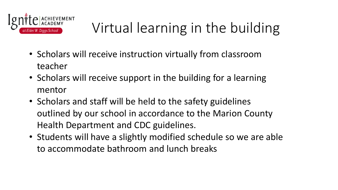

# Virtual learning in the building

- Scholars will receive instruction virtually from classroom teacher
- Scholars will receive support in the building for a learning mentor
- Scholars and staff will be held to the safety guidelines outlined by our school in accordance to the Marion County Health Department and CDC guidelines.
- Students will have a slightly modified schedule so we are able to accommodate bathroom and lunch breaks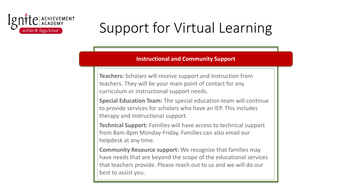

## Support for Virtual Learning

#### **Instructional and Community Support**

**Teachers:** Scholars will receive support and instruction from teachers. They will be your main point of contact for any curriculum or instructional support needs.

**Special Education Team:** The special education team will continue to provide services for scholars who have an IEP. This includes therapy and instructional support.

**Technical Support:** Families will have access to technical support from 8am-8pm Monday-Friday. Families can also email our helpdesk at any time.

**Community Resource support:** We recognize that families may have needs that are beyond the scope of the educational services that teachers provide. Please reach out to us and we will do our best to assist you.